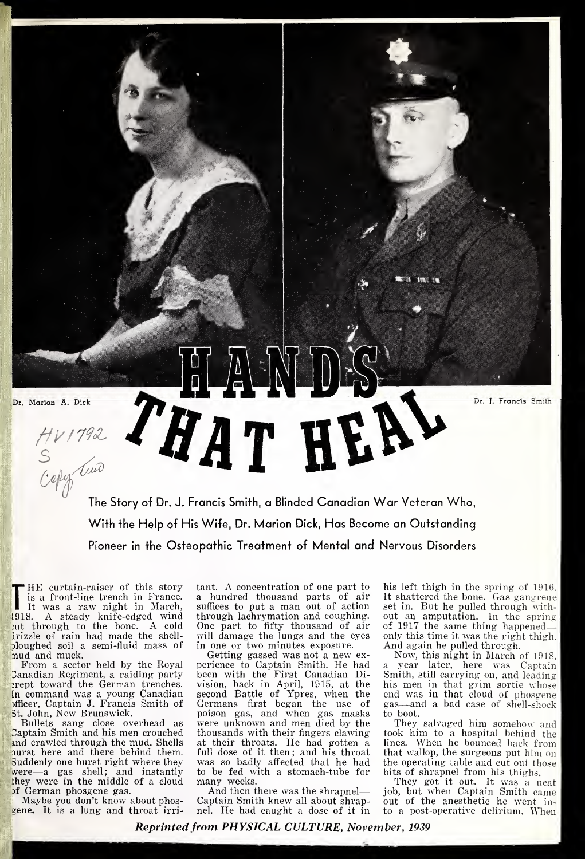Dr. Marion A. Dick HANDS

Is a front-line trench in France.<br>It was a raw night in March, st<br>1918. A steady knife-edged wind th HE curtain-raiser of this story is a front-line trench in France. ut through to the bone. A cold Irizzle of rain had made the shell oloughed soil a semi-fluid mass of nud and muck.

From a sector held by the Royal Canadian Regiment, a raiding party prept toward the German trenches. In command was a young Canadian se officer, Captain J. Francis Smith of ( 3t. John, New Brunswick.

Bullets sang close overhead as Captain Smith and his men crouched and crawled through the mud. Shells ourst here and there behind them. Suddenly one burst right where they were—<sup>a</sup> gas shell; and instantly they were in the middle of a cloud

of German phosgene gas.<br>Maybe you don't know about phosgene. It is a lung and throat irritant. A concentration of one part to a hundred thousand parts of air suffices to put a man out of action through lachrymation and coughing. One part to fifty thousand of air will damage the lungs and the eyes in one or two minutes exposure.

The Story of Dr. J. Francis Smith, a Blinded Canadian War Veteran Who,

With the Help of His Wife, Dr. Marion Dick, Has Become an Outstanding Pioneer in the Osteopathic Treatment of Mental and Nervous Disorders

> Getting gassed was not a new ex perience to Captain Smith. He had been with the First Canadian Division, back in April, 1915, at the second Battle of Ypres, when the Germans first began the use of poison gas, and when gas masks were unknown and men died by the thousands with their fingers clawing at their throats. He had gotten a full dose of it then; and his throat was so badly affected that he had to be fed with a stomach-tube for many weeks.

And then there was the shrapnel Captain Smith knew all about shrapnel. He had caught a dose of it in his left thigh in the spring of 1916. It shattered the bone. Gas gangrene set in. But he pulled through with out an amputation. In the spring of 1917 the same thing happened only this time it was the right thigh. And again he pulled through.

Dr. J. Francis Smith

f®<sup>0</sup>

**TELEVISION** 

Now, this night in March of 1918, year later, here was Captain Smith, still carrying on, and leading his men in that grim sortie whose end was in that cloud of phosgene gas—and <sup>a</sup> bad case of shell-shock to boot.

They salvaged him somehow and took him to a hospital behind the lines. When he bounced back from that wallop, the surgeons put him on the operating table and cut out those bits of shrapnel from his thighs.

They got it out. It was a neat job, but when Captain Smith came out of the anesthetic he went in to a post-operative delirium. When

Reprinted from PHYSICAL CULTURE, November, 1939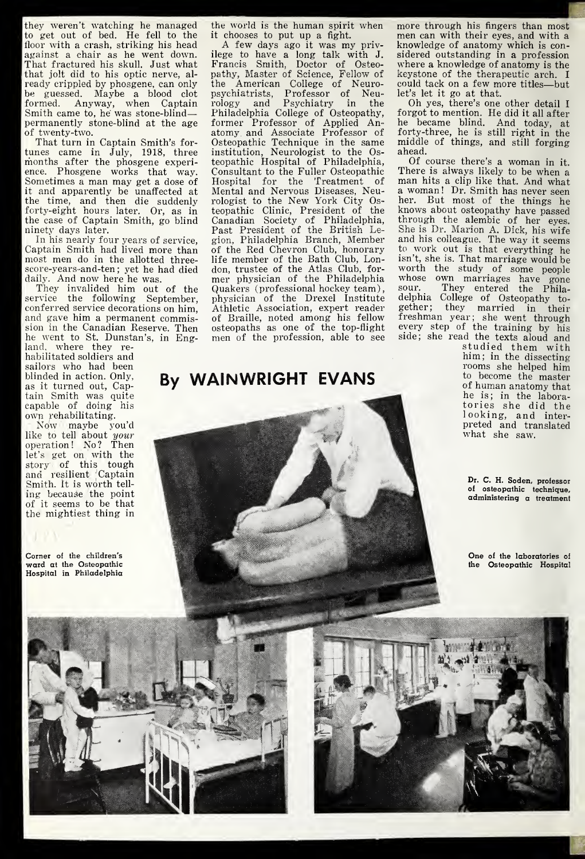they weren't watching he managed to get out of bed. He fell to the floor with a crash, striking his head against a chair as he went down. That fractured his skull. Just what that jolt did to his optic nerve, al ready crippled by phosgene, can only be guessed. Maybe a blood clot formed. Anyway, when Captain Smith came to, he was stone-blind permanently stone-blind at the age of twenty-two.

That turn in Captain Smith's for tunes came in July, 1918, three months after the phosgene experience. Phosgene works that way. Sometimes <sup>a</sup> man may get a dose of it and apparently be unaffected at the time, and then die suddenly forty-eight hours later. Or, as in the case of Captain Smith, go blind ninety days later.

In his nearly four years of service, Captain Smith had lived more than most men do in the allotted threescore-years-and-ten; yet he had died<br>daily. And now here he was.

daily. And now here he was. They invalided him out of the service the following September, conferred service decorations on him, and gave him a permanent commission in the Canadian Reserve. Then he went to St. Dunstan's, in Eng-

land, where they re habilitated soldiers and sailors who had been blinded in action. Only, as it turned out, Captain Smith was quite capable of doing his own rehabilitating.

Now maybe you'd like to tell about  $\it your$ operation! No? Then let's get on with the story of this tough and resilient Captain Smith. It is worth tell ing because the point of it seems to be that the mightiest thing in

Corner of the children's ward at the Osteopathic Hospital in Philadelphia

the world is the human spirit when more through his fingers than most it chooses to put up a fight.

A few days ago it was my privilege to have a long talk with J. Francis Smith, Doctor of Osteopathy, Master of Science, Fellow of the American College of Neuropsychiatrists, Professor of Neurology and Psychiatry in the Philadelphia College of Osteopathy, former Professor of Applied Anatomy and Associate Professor of Osteopathic Technique in the same institution, Neurologist to the Osteopathic Hospital of Philadelphia, Of course there's a woman in it.<br>Consultant to the Fuller Osteopathic There is always likely to be when a Consultant to the Fuller Osteopathic Hospital for the Treatment of Mental and Nervous Diseases, Neurologist to the New York City Osteopathic Clinic, President of the Canadian Society of Philadelphia, Past President of the British Le-gion, Philadelphia Branch, Member of the Red Chevron Club, honorary life member of the Bath Club, London, trustee of the Atlas Club, for mer physician of the Philadelphia Quakers (professional hockey team), physician of the Drexel Institute Athletic Association, expert reader of Braille, noted among his fellow osteopaths as one of the top-flight men of the profession, able to see

## By WAINWRIGHT EVANS

men can with their eyes, and with a knowledge of anatomy which is con sidered outstanding in a profession where a knowledge of anatomy is the keystone of the therapeutic arch. <sup>I</sup> could tack on <sup>a</sup> few more titles—but let's let it go at that.

Oh yes, there's one other detail <sup>I</sup> forgot to mention. He did it all after he became blind. And today, at forty-three, he is still right in the middle of things, and still forging

ahead.<br>Of course there's a woman in it. man hits a clip like that. And what a woman ! Dr. Smith has never seen her. But most of the things he knows about osteopathy have passed through the alembic of her eyes. She is Dr. Marion A. Dick, his wife and his colleague. The way it seems to work out is that everything he isn't, she is. That marriage would be worth the study of some people whose own marriages have gone sour. They entered the Philadelphia College of Osteopathy to gether; they married in their freshman year; she went through every step of the training by his side; she read the texts aloud and

studied them with him; in the dissecting rooms she helped him to become the master of human anatomy that he is; in the laboratories she did the looking, and inter preted and translated what she saw.

Dr. C. H. Soden, professor of osteopathic technique, administering a treatment

One of the laboratories of the Osteopathic Hospital

m



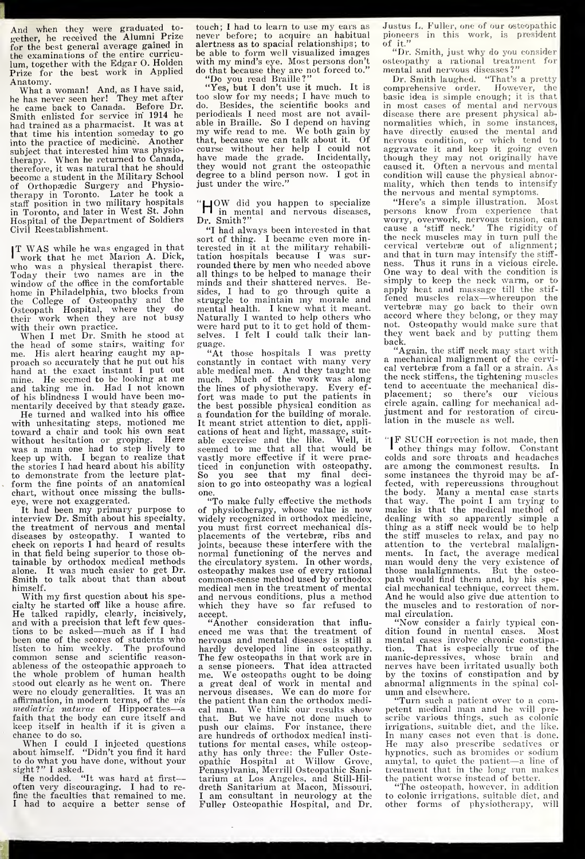And when they were graduated to-<br>gether, he received the Alumni Prize for the best general average gained in the examinations of the entire curricu lum, together with the Edgar O. Holden with my mind's eye. Most persons don't<br>Prize for the best work in Applied do that because they are not forced to.' Prize for the best work in Applied Anatomy.

Anatomy. What a woman! And, as <sup>I</sup> have said, he has never seen her! They met after he came back to Canada. Before Dr. Smith enlisted for service in 1914 he had trained as a pharmacist. It was at that time his intention someday to go into the practice of medicine. Another subject that interested him was physio-therapy. When he returned to Canada, therefore, it was natural that he should become a student in the Military School of Orthopaedic Surgery and Physiotherapy in Toronto. Later he took a staff position in two military hospitals in Toronto, and later in West St. John Hospital of the Department of Soldiers Civil Reestablishment.

IT WAS while he was engaged in that twork that he met Marion A. Dick, t who was <sup>a</sup> physical therapist there. Today their two names are in the window of the office in the comfortable home in Philadelphia, two blocks from the College of Osteopathy and the Osteopath Hospital, where they do their work when they are not busy with their own practice.

When <sup>I</sup> met Dr. Smith he stood at the head of some stairs, waiting for me. His alert hearing caught my ap proach so accurately that he put out his chand at the exact instant I put out a mine. He seemed to be looking at me and taking me in. Had <sup>I</sup> not known of his blindness <sup>I</sup> would have been mo-

He turned and walked into his office with unhesitating steps, motioned me toward a chair and took his own seat c without hesitation or groping. Here alwas a man one had to step lively to keep up with. I began to realize that the stories <sup>I</sup> had heard about his ability to demonstrate from the lecture platform the fine points of an anatomical chart, without once missing the bulls eye, were not exaggerated.

It had been my primary purpose to  $\alpha$  interview Dr. Smith about his specialty, the treatment of nervous and mental diseases by osteopathy. <sup>I</sup> wanted to check on reports <sup>I</sup> had heard of results in that field being superior to those obtainable by orthodox medical methods alone. It was much easier to get Dr.  ${\rm S}$ mith to talk about that than about  $~{\rm c}$ himself.

With my first question about his specialty he started off like a house afire. cialty he started off like a house afire.<br>He talked rapidly, clearly, incisively, ;<br>and with a precision that left few quesand with a precision that left few ques-<br>tions to be asked—much as if I had er<br>been one of the scores of students who he listen to him weekly. The profound common sense and scientific reasonableness of the osteopathic approach to the whole problem of human health stood out clearly as he went on. There were no cloudy generalities. It was an affirmation, in modern terms, of the vis the p<br>mediatrix naturae of Hippocrates—a cal r<br>faith that the body can cure itself and that. keep itself in health if it is given a

chance to do so.<br>When I could I injected questions th<br>about himself. "Didn't you find it hard a<br>to do what you have done, without your o sight?" I asked.<br>He nodded. "It was hard at first-

often very discouraging. <sup>I</sup> had to refine the faculties that remained to me. <sup>I</sup> had to acquire a better sense of

touch; <sup>I</sup> had to learn to use my ears as never before; to acouire an habitual alertness as to spacial relationships; to be able to form well visualized images with my mind's eye. Most persons don't Do you read Braille?"

"Yes, but I don't use it much. It is too slow for my needs; I have much to<br>do. Besides, the scientific books and Besides, the scientific books and periodicals <sup>I</sup> need most are not avail able in Braille. So <sup>I</sup> depend on having my wife read to me. We both gain by that, because we can talk about it. Of course without her help <sup>I</sup> could not have made the grade. Incidentally, they would not grant the osteopathic degree to a blind person now. <sup>I</sup> got in just under the wire."

H OW did you happen to specialize in mental and nervous diseases, Dr. Smith?"

"I had always been interested in that sort of thing. <sup>I</sup> became even more in terested in it at the military rehabili-<br>tation hospitals because I was sur- <sup>2</sup> rounded there by men who needed above ness. Thus it runs in a vicious circle.<br>all things to be helped to manage their One way to deal with the condition is all things to be helped to manage their<br>minds and their shattered nerves. Beminds and their shattered nerves. sides, <sup>I</sup> had to go through quite a struggle to maintain my morale and mental health. <sup>I</sup> knew what it meant. Naturally <sup>I</sup> wanted to help others who were hard put to it to get hold of themselves. I felt I could talk their lan-<br> $\frac{1}{2}$  they<br>hack. guage.

"At those hospitals <sup>I</sup> was pretty constantly in contact with many very able medical men. And they taught me much. Much of the work was along the lines of physiotherapy. Every ef fort was made to put the patients in the best possible physical condition as a foundation for the building of morale. It meant strict attention to diet, appli cations of heat and light, massage, suit able exercise and the like. seemed to me that all that would be vastly more effective if it were practiced in conjunction with osteopathy. So you see that my final deci sion to go into osteopathy was a logical one.

of physiotherapy, whose value is now widely recognized in orthodox medicine, you must first correct mechanical dis placements of the vertebræ, ribs and joints, because these interfere with the normal functioning of the nerves and the circulatory system. In other words, osteopathy makes use of every rational common-sense method used by orthodox medical men in the treatment of mental and nervous conditions, plus a method which they have so far refused to accept.

"Another consideration that influ enced me was that the treatment of  $\,$  c<br>nervous and mental diseases is still a  $\,$  r hardly developed line in osteopathy. The few osteopaths in that work are in a sense pioneers. That idea attracted me. We osteopaths ought to be doing a great deal of work in mental and nervous diseases. We can do more for the patient than can the orthodox medical man. We think our results show that. But we have not done much to push our claims. For instance, there are hundreds of orthodox medical insti tutions for mental cases, while osteopathy has only three: the Fuller Oste-opathic Hospital at Willow Grove, Pennsylvania, Merrill Osteopathic Sani tarium at Los Angeles, and Still-Hil dreth Sanitarium at Macon, Missouri. <sup>I</sup> am consultant in neurology at the Fuller Osteopathic Hospital, and Dr.

Justus L. Fuller, one of our osteopathic pioneers in this work, is president of it."

"Dr. Smith, just why do you consider osteopathy a rational treatment for mental and nervous diseases?"

Dr. Smith laughed. "That's a pretty comprehensive order. However, the basic idea is simple enough; it is that in most cases of mental and nervous disease there are present physical ab normalities which, in some instances, have directly caused the mental and nervous condition, or which tend to aggravate it and keep it going even though they may not originally have caused it. Often a nervous and mental condition will cause the physical abnormality, which then tends to intensify the nervous and mental symptoms.

"Here's a simple illustration. Most persons know from experience that worry, overwork, nervous tension, can cause a 'stiff neck.' The rigidity of the neck muscles may in turn pull the cervical vertebrae out of alignment; and that in turn may intensify the stiff simply to keep the neck warm, or to apply heat and massage till the stif fened muscles relaxvertebrae may go back to their own accord where they belong, or they may not. Osteopathy would make sure that they went back and by putting them

back. "Again, the stiff neck may start with a mechanical malignment of the cervical vertebra from a fall or a strain. As the neck stiffens, the tightening muscles tend to accentuate the mechanical dis placement; so there's our vicious circle again, calling for mechanical ad justment and for restoration of circu lation in the muscle as well.

"To make fully effective the methods that way. The point I am trying to physiotherapy, whose value is now make is that the medical method of <sup>I</sup> <sup>F</sup> SUCH correction is not made, then other things may follow. Constant colds and sore throats and headaches are among the commonest results. In some instances the thyroid may be affected, with repercussions throughout the body. Many a mental case starts that way. The point <sup>I</sup> am trying to make is that the medical method of dealing with so apparently simple a thing as a stiff neck would be to help the stiff muscles to relax, and pay no attention to the vertebral malalign-<br>ments. In fact, the average medical<br>man would deny the very existence of those malalignments. But the osteo path would find them and, by his special mechanical technique, correct them. And he would also give due attention to the muscles and to restoration of nor-<br>mal circulation.

"Now consider a fairly typical condition found in mental cases. Most mental cases involve chronic constipation. That is especially true of the manic-depressives, whose brain and nerves have been irritated usually both by the toxins of constipation and by abnormal alignments in the spinal col- umn and elsewhere. "Turn such <sup>a</sup> patient over to <sup>a</sup> com-

petent medical man and he will pre-scribe various things, such as colonic irrigations, suitable diet, and the like. In many cases not even that is done. He may also prescribe sedatives or hypnotics, such as bromides or sodium<br>amytal, to quiet the patient—a line of nyphotics, such as bronness or sound<br>amytal, to quiet the patient—a line of<br>treatment that in the long run makes<br>the patient worse instead of better.

"The osteopath, however, in addition to colonic irrigations, suitable diet, and other forms of physiotherapy, will